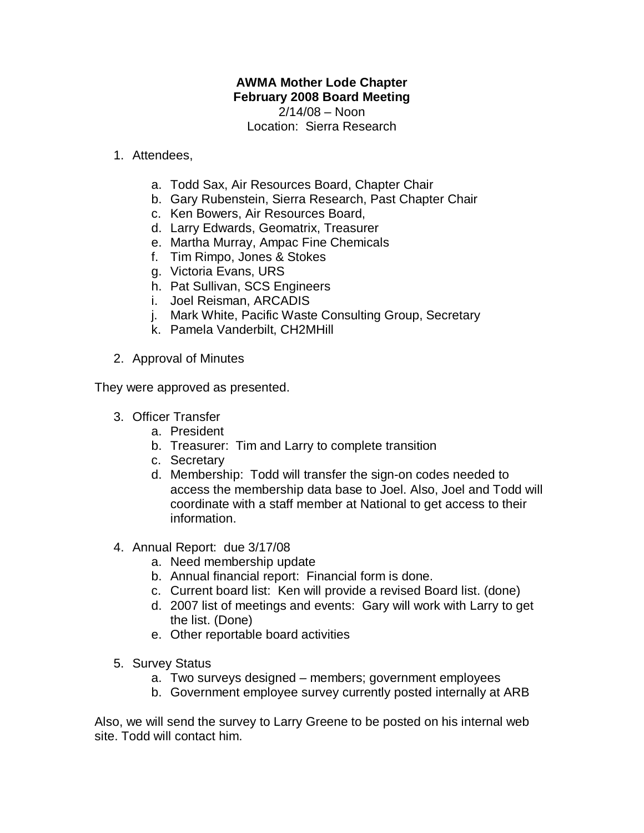## **AWMA Mother Lode Chapter February 2008 Board Meeting**

2/14/08 – Noon Location: Sierra Research

## 1. Attendees,

- a. Todd Sax, Air Resources Board, Chapter Chair
- b. Gary Rubenstein, Sierra Research, Past Chapter Chair
- c. Ken Bowers, Air Resources Board,
- d. Larry Edwards, Geomatrix, Treasurer
- e. Martha Murray, Ampac Fine Chemicals
- f. Tim Rimpo, Jones & Stokes
- g. Victoria Evans, URS
- h. Pat Sullivan, SCS Engineers
- i. Joel Reisman, ARCADIS
- j. Mark White, Pacific Waste Consulting Group, Secretary
- k. Pamela Vanderbilt, CH2MHill
- 2. Approval of Minutes

They were approved as presented.

- 3. Officer Transfer
	- a. President
	- b. Treasurer: Tim and Larry to complete transition
	- c. Secretary
	- d. Membership: Todd will transfer the sign-on codes needed to access the membership data base to Joel. Also, Joel and Todd will coordinate with a staff member at National to get access to their information.
- 4. Annual Report: due 3/17/08
	- a. Need membership update
	- b. Annual financial report: Financial form is done.
	- c. Current board list: Ken will provide a revised Board list. (done)
	- d. 2007 list of meetings and events: Gary will work with Larry to get the list. (Done)
	- e. Other reportable board activities
- 5. Survey Status
	- a. Two surveys designed members; government employees
	- b. Government employee survey currently posted internally at ARB

Also, we will send the survey to Larry Greene to be posted on his internal web site. Todd will contact him.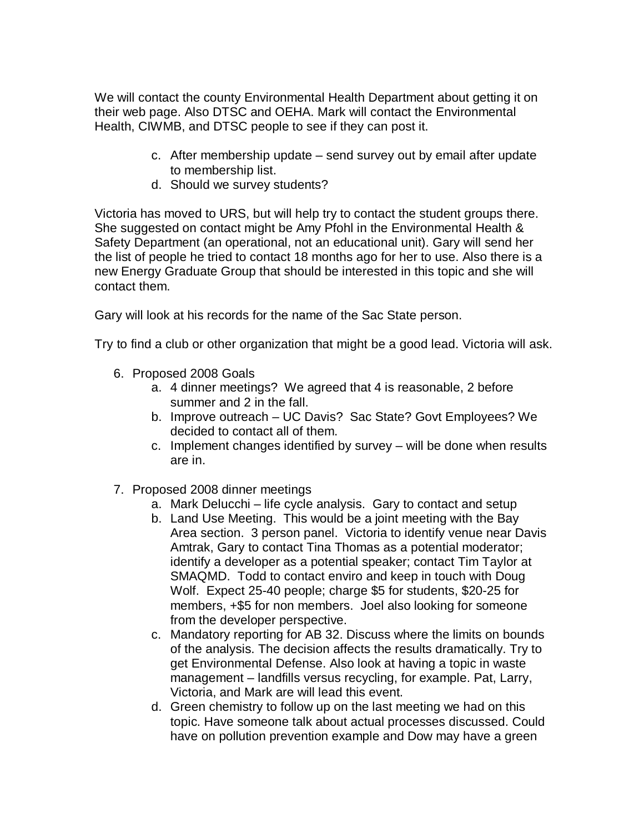We will contact the county Environmental Health Department about getting it on their web page. Also DTSC and OEHA. Mark will contact the Environmental Health, CIWMB, and DTSC people to see if they can post it.

- c. After membership update send survey out by email after update to membership list.
- d. Should we survey students?

Victoria has moved to URS, but will help try to contact the student groups there. She suggested on contact might be Amy Pfohl in the Environmental Health & Safety Department (an operational, not an educational unit). Gary will send her the list of people he tried to contact 18 months ago for her to use. Also there is a new Energy Graduate Group that should be interested in this topic and she will contact them.

Gary will look at his records for the name of the Sac State person.

Try to find a club or other organization that might be a good lead. Victoria will ask.

- 6. Proposed 2008 Goals
	- a. 4 dinner meetings? We agreed that 4 is reasonable, 2 before summer and 2 in the fall.
	- b. Improve outreach UC Davis? Sac State? Govt Employees? We decided to contact all of them.
	- c. Implement changes identified by survey will be done when results are in.
- 7. Proposed 2008 dinner meetings
	- a. Mark Delucchi life cycle analysis. Gary to contact and setup
	- b. Land Use Meeting. This would be a joint meeting with the Bay Area section. 3 person panel. Victoria to identify venue near Davis Amtrak, Gary to contact Tina Thomas as a potential moderator; identify a developer as a potential speaker; contact Tim Taylor at SMAQMD. Todd to contact enviro and keep in touch with Doug Wolf. Expect 25-40 people; charge \$5 for students, \$20-25 for members, +\$5 for non members. Joel also looking for someone from the developer perspective.
	- c. Mandatory reporting for AB 32. Discuss where the limits on bounds of the analysis. The decision affects the results dramatically. Try to get Environmental Defense. Also look at having a topic in waste management – landfills versus recycling, for example. Pat, Larry, Victoria, and Mark are will lead this event.
	- d. Green chemistry to follow up on the last meeting we had on this topic. Have someone talk about actual processes discussed. Could have on pollution prevention example and Dow may have a green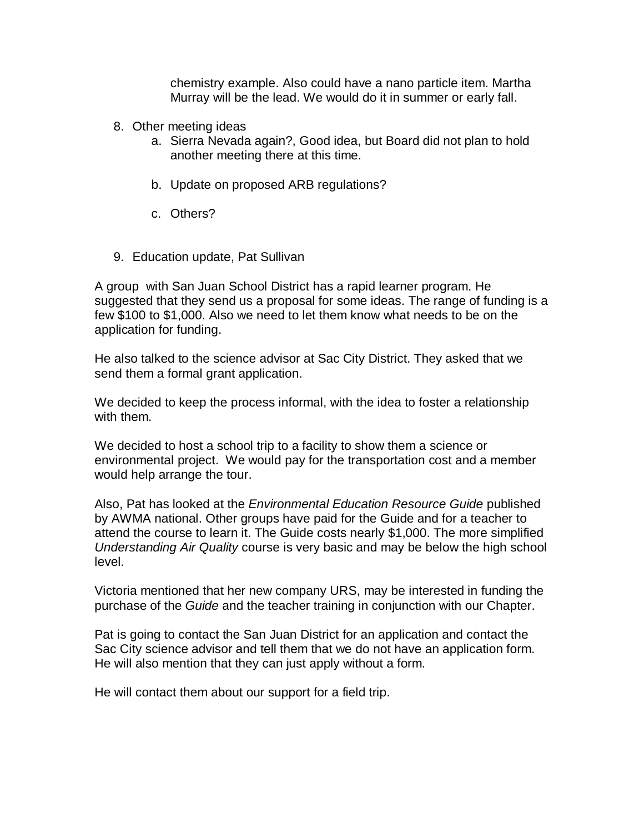chemistry example. Also could have a nano particle item. Martha Murray will be the lead. We would do it in summer or early fall.

- 8. Other meeting ideas
	- a. Sierra Nevada again?, Good idea, but Board did not plan to hold another meeting there at this time.
	- b. Update on proposed ARB regulations?
	- c. Others?
- 9. Education update, Pat Sullivan

A group with San Juan School District has a rapid learner program. He suggested that they send us a proposal for some ideas. The range of funding is a few \$100 to \$1,000. Also we need to let them know what needs to be on the application for funding.

He also talked to the science advisor at Sac City District. They asked that we send them a formal grant application.

We decided to keep the process informal, with the idea to foster a relationship with them.

We decided to host a school trip to a facility to show them a science or environmental project. We would pay for the transportation cost and a member would help arrange the tour.

Also, Pat has looked at the *Environmental Education Resource Guide* published by AWMA national. Other groups have paid for the Guide and for a teacher to attend the course to learn it. The Guide costs nearly \$1,000. The more simplified *Understanding Air Quality* course is very basic and may be below the high school level.

Victoria mentioned that her new company URS, may be interested in funding the purchase of the *Guide* and the teacher training in conjunction with our Chapter.

Pat is going to contact the San Juan District for an application and contact the Sac City science advisor and tell them that we do not have an application form. He will also mention that they can just apply without a form.

He will contact them about our support for a field trip.